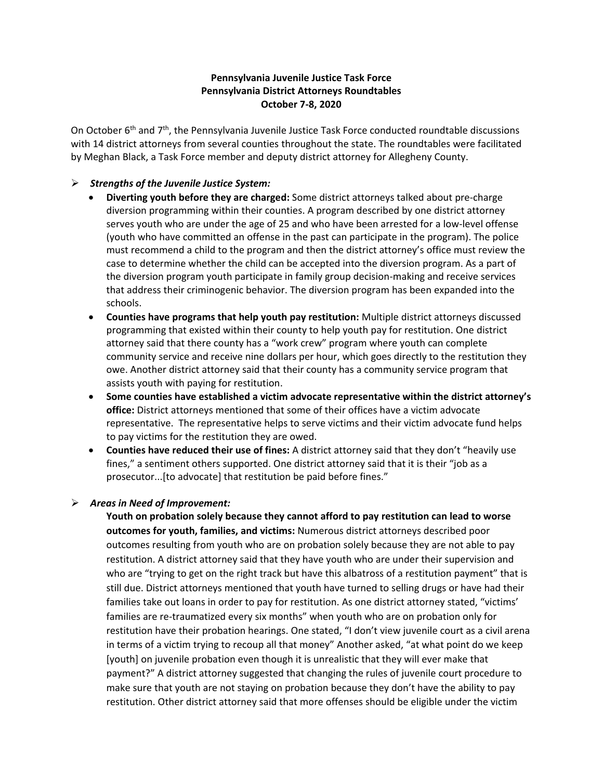## **Pennsylvania Juvenile Justice Task Force Pennsylvania District Attorneys Roundtables October 7-8, 2020**

On October 6<sup>th</sup> and 7<sup>th</sup>, the Pennsylvania Juvenile Justice Task Force conducted roundtable discussions with 14 district attorneys from several counties throughout the state. The roundtables were facilitated by Meghan Black, a Task Force member and deputy district attorney for Allegheny County.

## *Strengths of the Juvenile Justice System:*

- **Diverting youth before they are charged:** Some district attorneys talked about pre-charge diversion programming within their counties. A program described by one district attorney serves youth who are under the age of 25 and who have been arrested for a low-level offense (youth who have committed an offense in the past can participate in the program). The police must recommend a child to the program and then the district attorney's office must review the case to determine whether the child can be accepted into the diversion program. As a part of the diversion program youth participate in family group decision-making and receive services that address their criminogenic behavior. The diversion program has been expanded into the schools.
- **Counties have programs that help youth pay restitution:** Multiple district attorneys discussed programming that existed within their county to help youth pay for restitution. One district attorney said that there county has a "work crew" program where youth can complete community service and receive nine dollars per hour, which goes directly to the restitution they owe. Another district attorney said that their county has a community service program that assists youth with paying for restitution.
- **Some counties have established a victim advocate representative within the district attorney's office:** District attorneys mentioned that some of their offices have a victim advocate representative. The representative helps to serve victims and their victim advocate fund helps to pay victims for the restitution they are owed.
- **Counties have reduced their use of fines:** A district attorney said that they don't "heavily use fines," a sentiment others supported. One district attorney said that it is their "job as a prosecutor...[to advocate] that restitution be paid before fines."

## *Areas in Need of Improvement:*

**Youth on probation solely because they cannot afford to pay restitution can lead to worse outcomes for youth, families, and victims:** Numerous district attorneys described poor outcomes resulting from youth who are on probation solely because they are not able to pay restitution. A district attorney said that they have youth who are under their supervision and who are "trying to get on the right track but have this albatross of a restitution payment" that is still due. District attorneys mentioned that youth have turned to selling drugs or have had their families take out loans in order to pay for restitution. As one district attorney stated, "victims' families are re-traumatized every six months" when youth who are on probation only for restitution have their probation hearings. One stated, "I don't view juvenile court as a civil arena in terms of a victim trying to recoup all that money" Another asked, "at what point do we keep [youth] on juvenile probation even though it is unrealistic that they will ever make that payment?" A district attorney suggested that changing the rules of juvenile court procedure to make sure that youth are not staying on probation because they don't have the ability to pay restitution. Other district attorney said that more offenses should be eligible under the victim